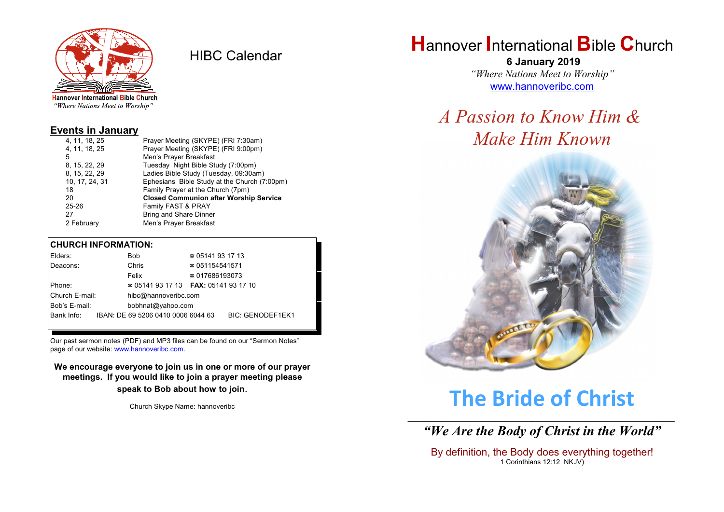

HIBC Calendar

"Where Nations Meet to Worship"

#### **Events in January**

| 4, 11, 18, 25  | Prayer Meeting (SKYPE) (FRI 7:30am)           |  |  |
|----------------|-----------------------------------------------|--|--|
| 4, 11, 18, 25  | Prayer Meeting (SKYPE) (FRI 9:00pm)           |  |  |
| 5              | Men's Prayer Breakfast                        |  |  |
| 8, 15, 22, 29  | Tuesday Night Bible Study (7:00pm)            |  |  |
| 8, 15, 22, 29  | Ladies Bible Study (Tuesday, 09:30am)         |  |  |
| 10, 17, 24, 31 | Ephesians Bible Study at the Church (7:00pm)  |  |  |
| 18             | Family Prayer at the Church (7pm)             |  |  |
| 20             | <b>Closed Communion after Worship Service</b> |  |  |
| $25 - 26$      | Family FAST & PRAY                            |  |  |
| 27             | <b>Bring and Share Dinner</b>                 |  |  |
| 2 February     | Men's Prayer Breakfast                        |  |  |
|                |                                               |  |  |

#### **CHURCH INFORMATION:**

| Elders:                                |  | Bob                                      | $\approx 05141931713$  |                         |
|----------------------------------------|--|------------------------------------------|------------------------|-------------------------|
| Deacons:                               |  | Chris                                    | $\approx 051154541571$ |                         |
|                                        |  | Felix                                    | $\approx 017686193073$ |                         |
| Phone:                                 |  | $\approx 05141931713$ FAX: 0514193 17 10 |                        |                         |
| Church E-mail:<br>hibc@hannoveribc.com |  |                                          |                        |                         |
| Bob's E-mail:                          |  | bobhnat@yahoo.com                        |                        |                         |
| Bank Info:                             |  | IBAN: DE 69 5206 0410 0006 6044 63       |                        | <b>BIC: GENODEF1EK1</b> |
|                                        |  |                                          |                        |                         |

Our past sermon notes (PDF) and MP3 files can be found on our "Sermon Notes" page of our website: [www.hannoveribc.com.](http://www.hannoveribc.com.)

**We encourage everyone to join us in one or more of our prayer meetings. If you would like to join a prayer meeting please speak to Bob about how to join**.

Church Skype Name: hannoveribc

# **H**annover **I**nternational **B**ible **C**hurch

 **6 January 2019** *"Where Nations Meet to Worship"* [www.hannoveribc.com](http://www.hannoveribc.com)

# *A Passion to Know Him & Make Him Known*



# **The Bride of Christ**

\_\_\_\_\_\_\_\_\_\_\_\_\_\_\_\_\_\_\_\_\_\_\_\_\_\_\_\_\_\_\_\_\_\_\_\_\_\_\_\_\_\_\_\_\_\_\_\_\_\_\_\_\_\_\_\_\_\_\_\_\_\_ *"We Are the Body of Christ in the World"*

By definition, the Body does everything together! 1 Corinthians 12:12 NKJV)